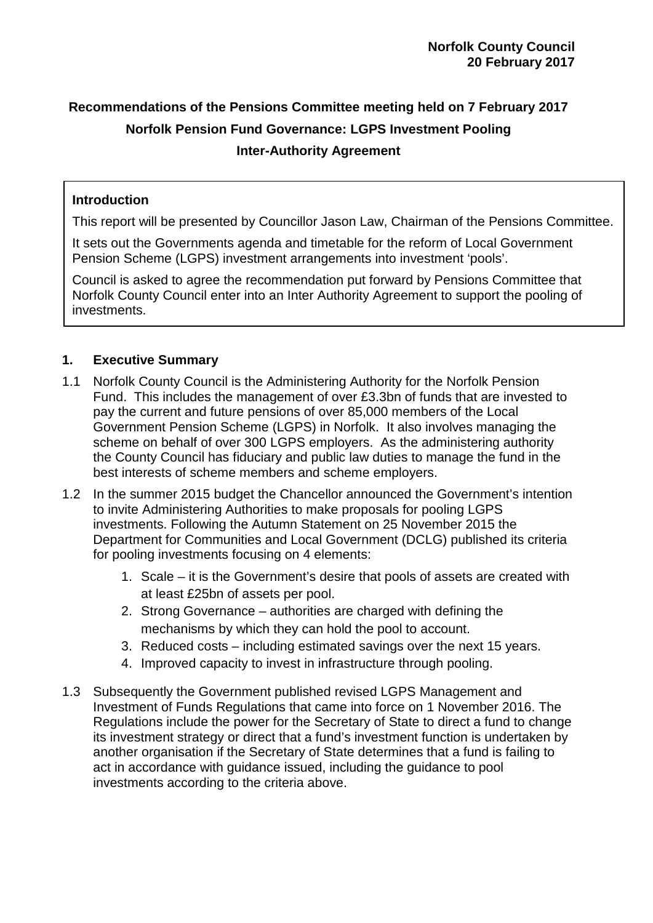# **Recommendations of the Pensions Committee meeting held on 7 February 2017 Norfolk Pension Fund Governance: LGPS Investment Pooling Inter-Authority Agreement**

# **Introduction**

This report will be presented by Councillor Jason Law, Chairman of the Pensions Committee.

It sets out the Governments agenda and timetable for the reform of Local Government Pension Scheme (LGPS) investment arrangements into investment 'pools'.

Council is asked to agree the recommendation put forward by Pensions Committee that Norfolk County Council enter into an Inter Authority Agreement to support the pooling of investments.

# **1. Executive Summary**

- 1.1 Norfolk County Council is the Administering Authority for the Norfolk Pension Fund. This includes the management of over £3.3bn of funds that are invested to pay the current and future pensions of over 85,000 members of the Local Government Pension Scheme (LGPS) in Norfolk. It also involves managing the scheme on behalf of over 300 LGPS employers. As the administering authority the County Council has fiduciary and public law duties to manage the fund in the best interests of scheme members and scheme employers.
- 1.2 In the summer 2015 budget the Chancellor announced the Government's intention to invite Administering Authorities to make proposals for pooling LGPS investments. Following the Autumn Statement on 25 November 2015 the Department for Communities and Local Government (DCLG) published its criteria for pooling investments focusing on 4 elements:
	- 1. Scale it is the Government's desire that pools of assets are created with at least £25bn of assets per pool.
	- 2. Strong Governance authorities are charged with defining the mechanisms by which they can hold the pool to account.
	- 3. Reduced costs including estimated savings over the next 15 years.
	- 4. Improved capacity to invest in infrastructure through pooling.
- 1.3 Subsequently the Government published revised LGPS Management and Investment of Funds Regulations that came into force on 1 November 2016. The Regulations include the power for the Secretary of State to direct a fund to change its investment strategy or direct that a fund's investment function is undertaken by another organisation if the Secretary of State determines that a fund is failing to act in accordance with guidance issued, including the guidance to pool investments according to the criteria above.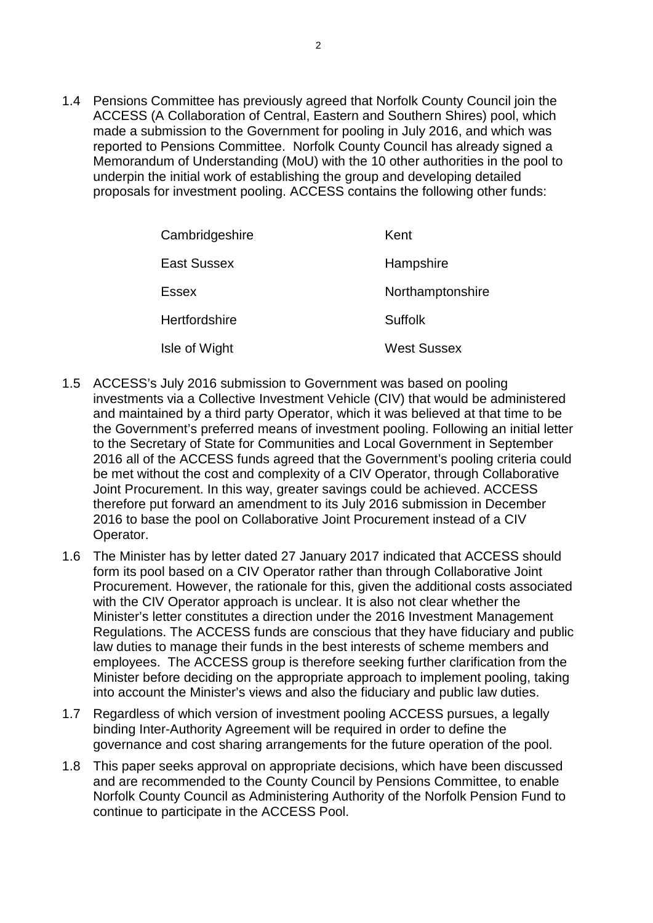1.4 Pensions Committee has previously agreed that Norfolk County Council join the ACCESS (A Collaboration of Central, Eastern and Southern Shires) pool, which made a submission to the Government for pooling in July 2016, and which was reported to Pensions Committee. Norfolk County Council has already signed a Memorandum of Understanding (MoU) with the 10 other authorities in the pool to underpin the initial work of establishing the group and developing detailed proposals for investment pooling. ACCESS contains the following other funds:

| Cambridgeshire | Kent               |
|----------------|--------------------|
| East Sussex    | Hampshire          |
| Essex          | Northamptonshire   |
| Hertfordshire  | <b>Suffolk</b>     |
| Isle of Wight  | <b>West Sussex</b> |

- 1.5 ACCESS's July 2016 submission to Government was based on pooling investments via a Collective Investment Vehicle (CIV) that would be administered and maintained by a third party Operator, which it was believed at that time to be the Government's preferred means of investment pooling. Following an initial letter to the Secretary of State for Communities and Local Government in September 2016 all of the ACCESS funds agreed that the Government's pooling criteria could be met without the cost and complexity of a CIV Operator, through Collaborative Joint Procurement. In this way, greater savings could be achieved. ACCESS therefore put forward an amendment to its July 2016 submission in December 2016 to base the pool on Collaborative Joint Procurement instead of a CIV Operator.
- 1.6 The Minister has by letter dated 27 January 2017 indicated that ACCESS should form its pool based on a CIV Operator rather than through Collaborative Joint Procurement. However, the rationale for this, given the additional costs associated with the CIV Operator approach is unclear. It is also not clear whether the Minister's letter constitutes a direction under the 2016 Investment Management Regulations. The ACCESS funds are conscious that they have fiduciary and public law duties to manage their funds in the best interests of scheme members and employees. The ACCESS group is therefore seeking further clarification from the Minister before deciding on the appropriate approach to implement pooling, taking into account the Minister's views and also the fiduciary and public law duties.
- 1.7 Regardless of which version of investment pooling ACCESS pursues, a legally binding Inter-Authority Agreement will be required in order to define the governance and cost sharing arrangements for the future operation of the pool.
- 1.8 This paper seeks approval on appropriate decisions, which have been discussed and are recommended to the County Council by Pensions Committee, to enable Norfolk County Council as Administering Authority of the Norfolk Pension Fund to continue to participate in the ACCESS Pool.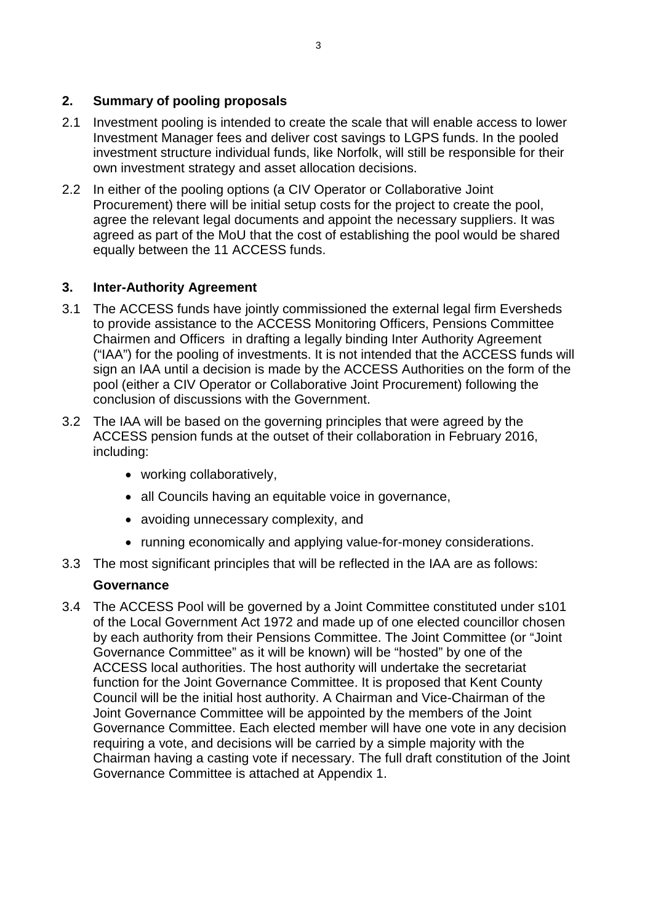# **2. Summary of pooling proposals**

- 2.1 Investment pooling is intended to create the scale that will enable access to lower Investment Manager fees and deliver cost savings to LGPS funds. In the pooled investment structure individual funds, like Norfolk, will still be responsible for their own investment strategy and asset allocation decisions.
- 2.2 In either of the pooling options (a CIV Operator or Collaborative Joint Procurement) there will be initial setup costs for the project to create the pool, agree the relevant legal documents and appoint the necessary suppliers. It was agreed as part of the MoU that the cost of establishing the pool would be shared equally between the 11 ACCESS funds.

# **3. Inter-Authority Agreement**

- 3.1 The ACCESS funds have jointly commissioned the external legal firm Eversheds to provide assistance to the ACCESS Monitoring Officers, Pensions Committee Chairmen and Officers in drafting a legally binding Inter Authority Agreement ("IAA") for the pooling of investments. It is not intended that the ACCESS funds will sign an IAA until a decision is made by the ACCESS Authorities on the form of the pool (either a CIV Operator or Collaborative Joint Procurement) following the conclusion of discussions with the Government.
- 3.2 The IAA will be based on the governing principles that were agreed by the ACCESS pension funds at the outset of their collaboration in February 2016, including:
	- working collaboratively,
	- all Councils having an equitable voice in governance,
	- avoiding unnecessary complexity, and
	- running economically and applying value-for-money considerations.
- 3.3 The most significant principles that will be reflected in the IAA are as follows:

## **Governance**

3.4 The ACCESS Pool will be governed by a Joint Committee constituted under s101 of the Local Government Act 1972 and made up of one elected councillor chosen by each authority from their Pensions Committee. The Joint Committee (or "Joint Governance Committee" as it will be known) will be "hosted" by one of the ACCESS local authorities. The host authority will undertake the secretariat function for the Joint Governance Committee. It is proposed that Kent County Council will be the initial host authority. A Chairman and Vice-Chairman of the Joint Governance Committee will be appointed by the members of the Joint Governance Committee. Each elected member will have one vote in any decision requiring a vote, and decisions will be carried by a simple majority with the Chairman having a casting vote if necessary. The full draft constitution of the Joint Governance Committee is attached at Appendix 1.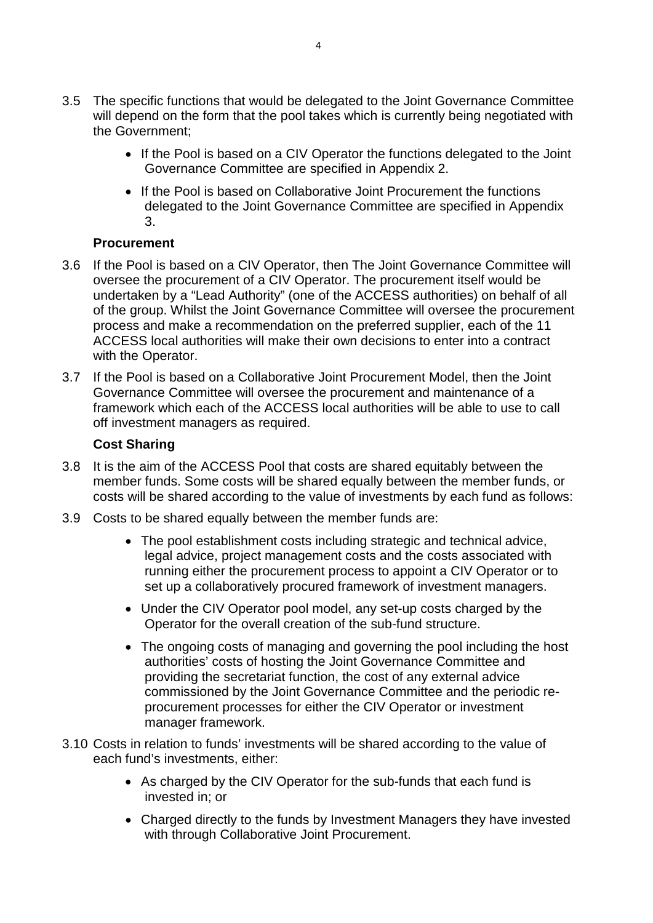- 3.5 The specific functions that would be delegated to the Joint Governance Committee will depend on the form that the pool takes which is currently being negotiated with the Government;
	- If the Pool is based on a CIV Operator the functions delegated to the Joint Governance Committee are specified in Appendix 2.
	- If the Pool is based on Collaborative Joint Procurement the functions delegated to the Joint Governance Committee are specified in Appendix 3.

# **Procurement**

- 3.6 If the Pool is based on a CIV Operator, then The Joint Governance Committee will oversee the procurement of a CIV Operator. The procurement itself would be undertaken by a "Lead Authority" (one of the ACCESS authorities) on behalf of all of the group. Whilst the Joint Governance Committee will oversee the procurement process and make a recommendation on the preferred supplier, each of the 11 ACCESS local authorities will make their own decisions to enter into a contract with the Operator.
- 3.7 If the Pool is based on a Collaborative Joint Procurement Model, then the Joint Governance Committee will oversee the procurement and maintenance of a framework which each of the ACCESS local authorities will be able to use to call off investment managers as required.

# **Cost Sharing**

- 3.8 It is the aim of the ACCESS Pool that costs are shared equitably between the member funds. Some costs will be shared equally between the member funds, or costs will be shared according to the value of investments by each fund as follows:
- 3.9 Costs to be shared equally between the member funds are:
	- The pool establishment costs including strategic and technical advice, legal advice, project management costs and the costs associated with running either the procurement process to appoint a CIV Operator or to set up a collaboratively procured framework of investment managers.
	- Under the CIV Operator pool model, any set-up costs charged by the Operator for the overall creation of the sub-fund structure.
	- The ongoing costs of managing and governing the pool including the host authorities' costs of hosting the Joint Governance Committee and providing the secretariat function, the cost of any external advice commissioned by the Joint Governance Committee and the periodic reprocurement processes for either the CIV Operator or investment manager framework.
- 3.10 Costs in relation to funds' investments will be shared according to the value of each fund's investments, either:
	- As charged by the CIV Operator for the sub-funds that each fund is invested in; or
	- Charged directly to the funds by Investment Managers they have invested with through Collaborative Joint Procurement.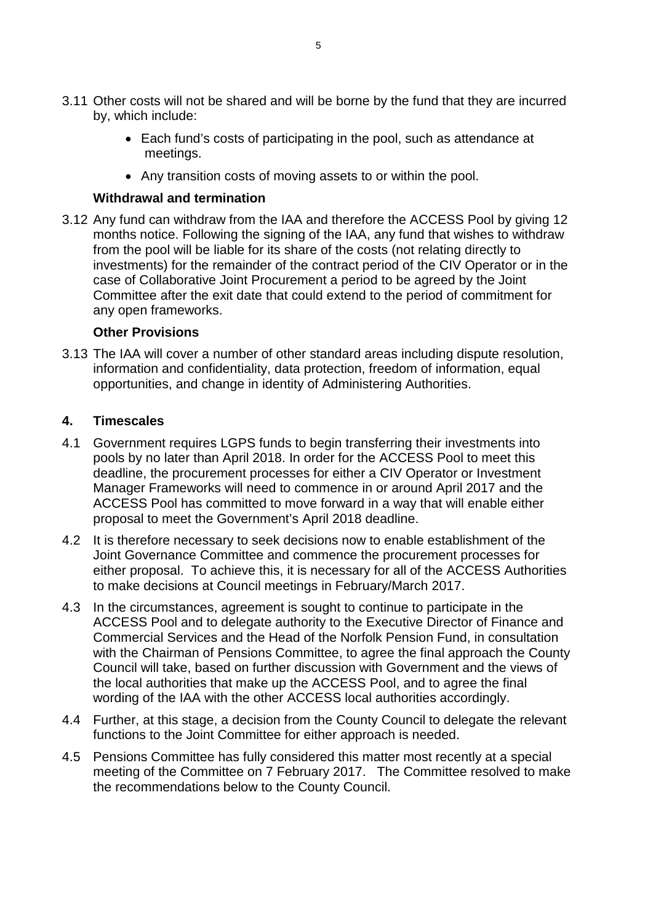- 3.11 Other costs will not be shared and will be borne by the fund that they are incurred by, which include:
	- Each fund's costs of participating in the pool, such as attendance at meetings.
	- Any transition costs of moving assets to or within the pool.

## **Withdrawal and termination**

3.12 Any fund can withdraw from the IAA and therefore the ACCESS Pool by giving 12 months notice. Following the signing of the IAA, any fund that wishes to withdraw from the pool will be liable for its share of the costs (not relating directly to investments) for the remainder of the contract period of the CIV Operator or in the case of Collaborative Joint Procurement a period to be agreed by the Joint Committee after the exit date that could extend to the period of commitment for any open frameworks.

# **Other Provisions**

3.13 The IAA will cover a number of other standard areas including dispute resolution, information and confidentiality, data protection, freedom of information, equal opportunities, and change in identity of Administering Authorities.

# **4. Timescales**

- 4.1 Government requires LGPS funds to begin transferring their investments into pools by no later than April 2018. In order for the ACCESS Pool to meet this deadline, the procurement processes for either a CIV Operator or Investment Manager Frameworks will need to commence in or around April 2017 and the ACCESS Pool has committed to move forward in a way that will enable either proposal to meet the Government's April 2018 deadline.
- 4.2 It is therefore necessary to seek decisions now to enable establishment of the Joint Governance Committee and commence the procurement processes for either proposal. To achieve this, it is necessary for all of the ACCESS Authorities to make decisions at Council meetings in February/March 2017.
- 4.3 In the circumstances, agreement is sought to continue to participate in the ACCESS Pool and to delegate authority to the Executive Director of Finance and Commercial Services and the Head of the Norfolk Pension Fund, in consultation with the Chairman of Pensions Committee, to agree the final approach the County Council will take, based on further discussion with Government and the views of the local authorities that make up the ACCESS Pool, and to agree the final wording of the IAA with the other ACCESS local authorities accordingly.
- 4.4 Further, at this stage, a decision from the County Council to delegate the relevant functions to the Joint Committee for either approach is needed.
- 4.5 Pensions Committee has fully considered this matter most recently at a special meeting of the Committee on 7 February 2017. The Committee resolved to make the recommendations below to the County Council.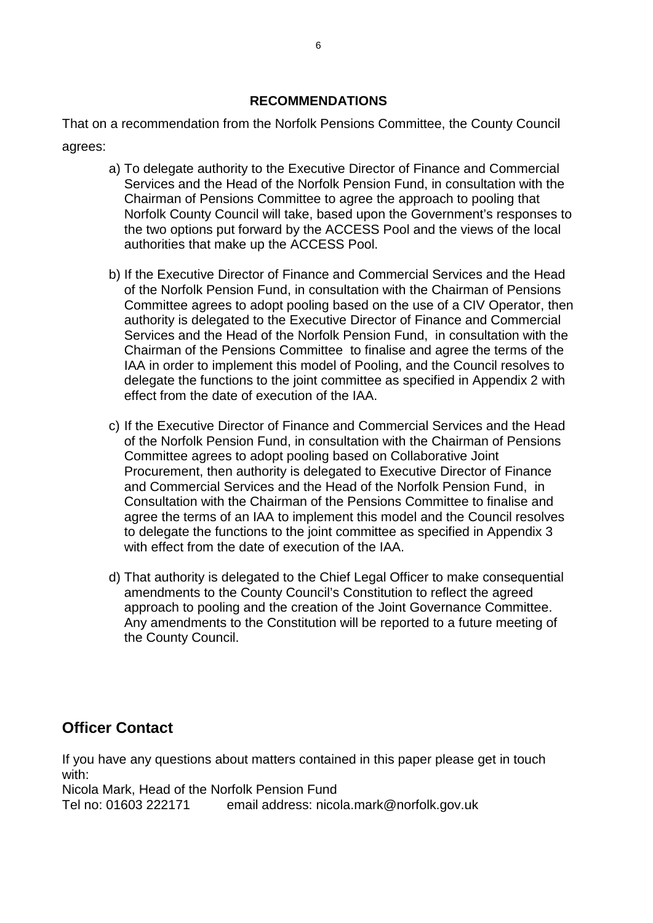## **RECOMMENDATIONS**

That on a recommendation from the Norfolk Pensions Committee, the County Council agrees:

- a) To delegate authority to the Executive Director of Finance and Commercial Services and the Head of the Norfolk Pension Fund, in consultation with the Chairman of Pensions Committee to agree the approach to pooling that Norfolk County Council will take, based upon the Government's responses to the two options put forward by the ACCESS Pool and the views of the local authorities that make up the ACCESS Pool.
- b) If the Executive Director of Finance and Commercial Services and the Head of the Norfolk Pension Fund, in consultation with the Chairman of Pensions Committee agrees to adopt pooling based on the use of a CIV Operator, then authority is delegated to the Executive Director of Finance and Commercial Services and the Head of the Norfolk Pension Fund, in consultation with the Chairman of the Pensions Committee to finalise and agree the terms of the IAA in order to implement this model of Pooling, and the Council resolves to delegate the functions to the joint committee as specified in Appendix 2 with effect from the date of execution of the IAA.
- c) If the Executive Director of Finance and Commercial Services and the Head of the Norfolk Pension Fund, in consultation with the Chairman of Pensions Committee agrees to adopt pooling based on Collaborative Joint Procurement, then authority is delegated to Executive Director of Finance and Commercial Services and the Head of the Norfolk Pension Fund, in Consultation with the Chairman of the Pensions Committee to finalise and agree the terms of an IAA to implement this model and the Council resolves to delegate the functions to the joint committee as specified in Appendix 3 with effect from the date of execution of the IAA.
- d) That authority is delegated to the Chief Legal Officer to make consequential amendments to the County Council's Constitution to reflect the agreed approach to pooling and the creation of the Joint Governance Committee. Any amendments to the Constitution will be reported to a future meeting of the County Council.

# **Officer Contact**

If you have any questions about matters contained in this paper please get in touch with:

Nicola Mark, Head of the Norfolk Pension Fund Tel no: 01603 222171 email address: nicola.mark@norfolk.gov.uk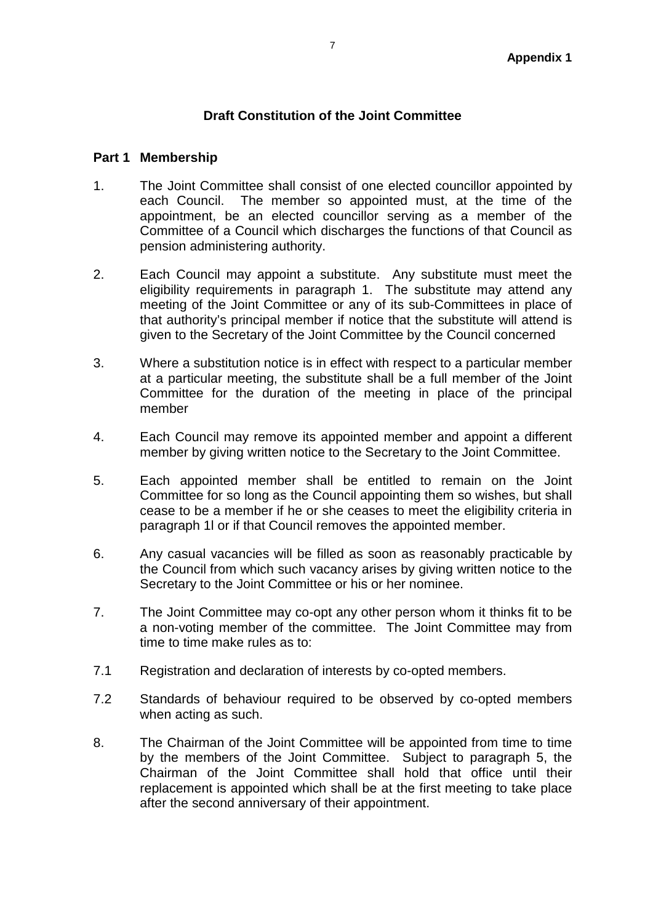### **Draft Constitution of the Joint Committee**

#### **Part 1 Membership**

- 1. The Joint Committee shall consist of one elected councillor appointed by each Council. The member so appointed must, at the time of the appointment, be an elected councillor serving as a member of the Committee of a Council which discharges the functions of that Council as pension administering authority.
- 2. Each Council may appoint a substitute. Any substitute must meet the eligibility requirements in paragraph 1. The substitute may attend any meeting of the Joint Committee or any of its sub-Committees in place of that authority's principal member if notice that the substitute will attend is given to the Secretary of the Joint Committee by the Council concerned
- 3. Where a substitution notice is in effect with respect to a particular member at a particular meeting, the substitute shall be a full member of the Joint Committee for the duration of the meeting in place of the principal member
- 4. Each Council may remove its appointed member and appoint a different member by giving written notice to the Secretary to the Joint Committee.
- 5. Each appointed member shall be entitled to remain on the Joint Committee for so long as the Council appointing them so wishes, but shall cease to be a member if he or she ceases to meet the eligibility criteria in paragraph 1l or if that Council removes the appointed member.
- 6. Any casual vacancies will be filled as soon as reasonably practicable by the Council from which such vacancy arises by giving written notice to the Secretary to the Joint Committee or his or her nominee.
- 7. The Joint Committee may co-opt any other person whom it thinks fit to be a non-voting member of the committee. The Joint Committee may from time to time make rules as to:
- 7.1 Registration and declaration of interests by co-opted members.
- 7.2 Standards of behaviour required to be observed by co-opted members when acting as such.
- 8. The Chairman of the Joint Committee will be appointed from time to time by the members of the Joint Committee. Subject to paragraph 5, the Chairman of the Joint Committee shall hold that office until their replacement is appointed which shall be at the first meeting to take place after the second anniversary of their appointment.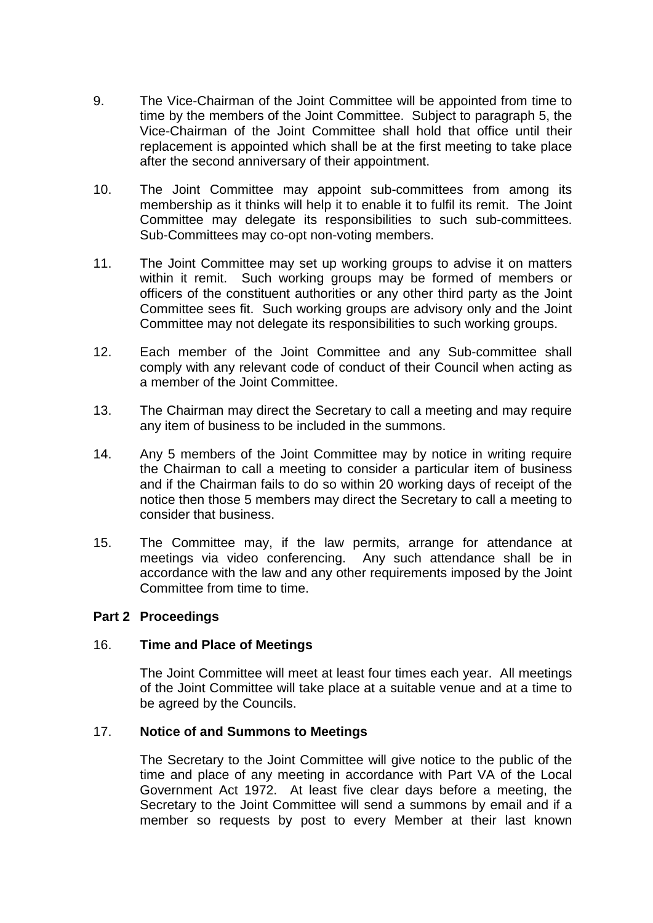- 9. The Vice-Chairman of the Joint Committee will be appointed from time to time by the members of the Joint Committee. Subject to paragraph 5, the Vice-Chairman of the Joint Committee shall hold that office until their replacement is appointed which shall be at the first meeting to take place after the second anniversary of their appointment.
- 10. The Joint Committee may appoint sub-committees from among its membership as it thinks will help it to enable it to fulfil its remit. The Joint Committee may delegate its responsibilities to such sub-committees. Sub-Committees may co-opt non-voting members.
- 11. The Joint Committee may set up working groups to advise it on matters within it remit. Such working groups may be formed of members or officers of the constituent authorities or any other third party as the Joint Committee sees fit. Such working groups are advisory only and the Joint Committee may not delegate its responsibilities to such working groups.
- 12. Each member of the Joint Committee and any Sub-committee shall comply with any relevant code of conduct of their Council when acting as a member of the Joint Committee.
- 13. The Chairman may direct the Secretary to call a meeting and may require any item of business to be included in the summons.
- 14. Any 5 members of the Joint Committee may by notice in writing require the Chairman to call a meeting to consider a particular item of business and if the Chairman fails to do so within 20 working days of receipt of the notice then those 5 members may direct the Secretary to call a meeting to consider that business.
- 15. The Committee may, if the law permits, arrange for attendance at meetings via video conferencing. Any such attendance shall be in accordance with the law and any other requirements imposed by the Joint Committee from time to time.

## **Part 2 Proceedings**

## 16. **Time and Place of Meetings**

The Joint Committee will meet at least four times each year. All meetings of the Joint Committee will take place at a suitable venue and at a time to be agreed by the Councils.

## 17. **Notice of and Summons to Meetings**

The Secretary to the Joint Committee will give notice to the public of the time and place of any meeting in accordance with Part VA of the Local Government Act 1972. At least five clear days before a meeting, the Secretary to the Joint Committee will send a summons by email and if a member so requests by post to every Member at their last known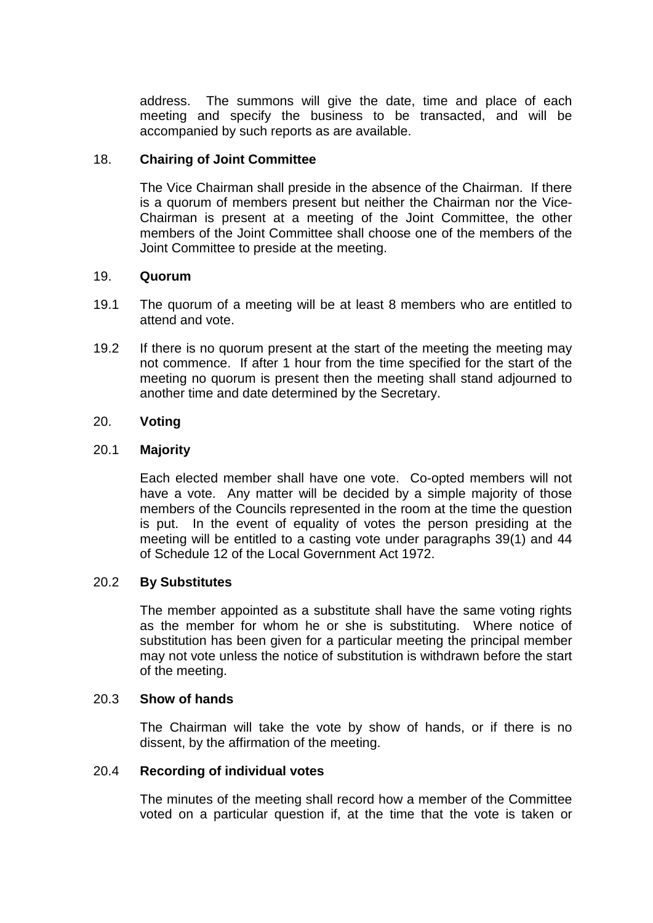address. The summons will give the date, time and place of each meeting and specify the business to be transacted, and will be accompanied by such reports as are available.

## 18. **Chairing of Joint Committee**

The Vice Chairman shall preside in the absence of the Chairman. If there is a quorum of members present but neither the Chairman nor the Vice-Chairman is present at a meeting of the Joint Committee, the other members of the Joint Committee shall choose one of the members of the Joint Committee to preside at the meeting.

## 19. **Quorum**

- 19.1 The quorum of a meeting will be at least 8 members who are entitled to attend and vote.
- 19.2 If there is no quorum present at the start of the meeting the meeting may not commence. If after 1 hour from the time specified for the start of the meeting no quorum is present then the meeting shall stand adjourned to another time and date determined by the Secretary.

## 20. **Voting**

#### 20.1 **Majority**

Each elected member shall have one vote. Co-opted members will not have a vote. Any matter will be decided by a simple majority of those members of the Councils represented in the room at the time the question is put. In the event of equality of votes the person presiding at the meeting will be entitled to a casting vote under paragraphs 39(1) and 44 of Schedule 12 of the Local Government Act 1972.

## 20.2 **By Substitutes**

The member appointed as a substitute shall have the same voting rights as the member for whom he or she is substituting. Where notice of substitution has been given for a particular meeting the principal member may not vote unless the notice of substitution is withdrawn before the start of the meeting.

#### 20.3 **Show of hands**

The Chairman will take the vote by show of hands, or if there is no dissent, by the affirmation of the meeting.

#### 20.4 **Recording of individual votes**

The minutes of the meeting shall record how a member of the Committee voted on a particular question if, at the time that the vote is taken or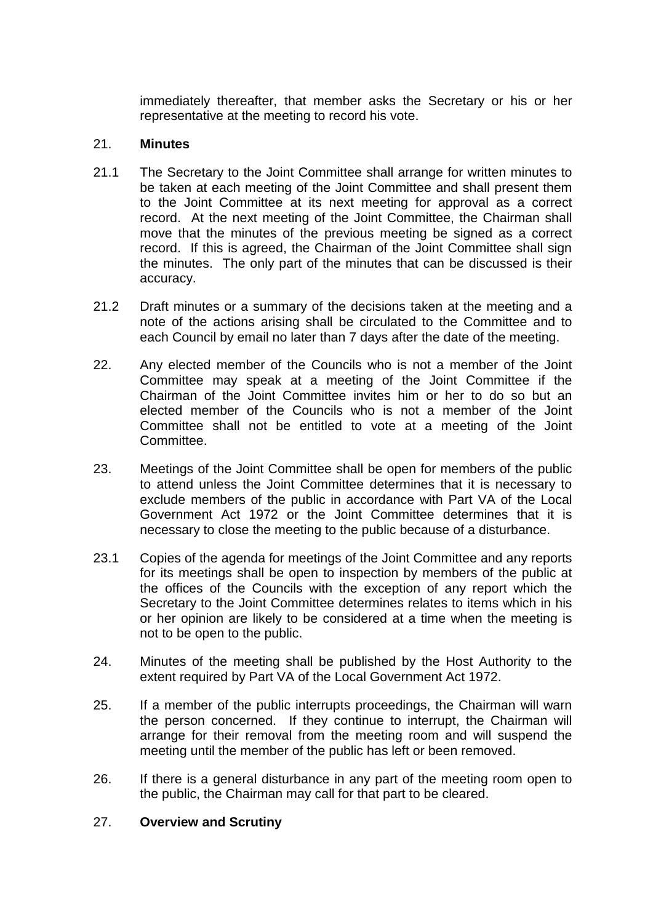immediately thereafter, that member asks the Secretary or his or her representative at the meeting to record his vote.

## 21. **Minutes**

- 21.1 The Secretary to the Joint Committee shall arrange for written minutes to be taken at each meeting of the Joint Committee and shall present them to the Joint Committee at its next meeting for approval as a correct record. At the next meeting of the Joint Committee, the Chairman shall move that the minutes of the previous meeting be signed as a correct record. If this is agreed, the Chairman of the Joint Committee shall sign the minutes. The only part of the minutes that can be discussed is their accuracy.
- 21.2 Draft minutes or a summary of the decisions taken at the meeting and a note of the actions arising shall be circulated to the Committee and to each Council by email no later than 7 days after the date of the meeting.
- 22. Any elected member of the Councils who is not a member of the Joint Committee may speak at a meeting of the Joint Committee if the Chairman of the Joint Committee invites him or her to do so but an elected member of the Councils who is not a member of the Joint Committee shall not be entitled to vote at a meeting of the Joint Committee.
- 23. Meetings of the Joint Committee shall be open for members of the public to attend unless the Joint Committee determines that it is necessary to exclude members of the public in accordance with Part VA of the Local Government Act 1972 or the Joint Committee determines that it is necessary to close the meeting to the public because of a disturbance.
- 23.1 Copies of the agenda for meetings of the Joint Committee and any reports for its meetings shall be open to inspection by members of the public at the offices of the Councils with the exception of any report which the Secretary to the Joint Committee determines relates to items which in his or her opinion are likely to be considered at a time when the meeting is not to be open to the public.
- 24. Minutes of the meeting shall be published by the Host Authority to the extent required by Part VA of the Local Government Act 1972.
- 25. If a member of the public interrupts proceedings, the Chairman will warn the person concerned. If they continue to interrupt, the Chairman will arrange for their removal from the meeting room and will suspend the meeting until the member of the public has left or been removed.
- 26. If there is a general disturbance in any part of the meeting room open to the public, the Chairman may call for that part to be cleared.

## 27. **Overview and Scrutiny**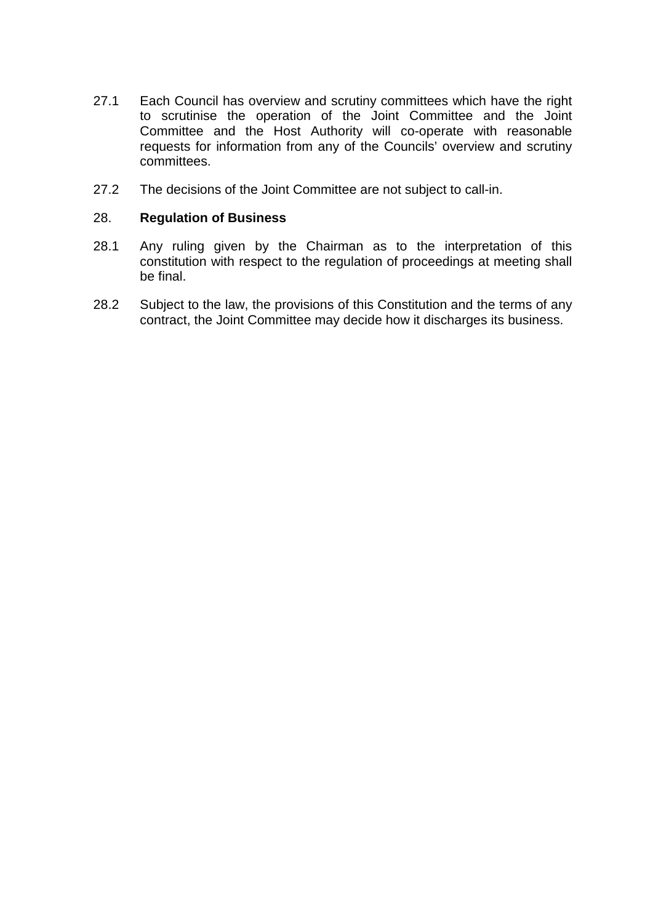- 27.1 Each Council has overview and scrutiny committees which have the right to scrutinise the operation of the Joint Committee and the Joint Committee and the Host Authority will co-operate with reasonable requests for information from any of the Councils' overview and scrutiny committees.
- 27.2 The decisions of the Joint Committee are not subject to call-in.

#### 28. **Regulation of Business**

- 28.1 Any ruling given by the Chairman as to the interpretation of this constitution with respect to the regulation of proceedings at meeting shall be final.
- 28.2 Subject to the law, the provisions of this Constitution and the terms of any contract, the Joint Committee may decide how it discharges its business.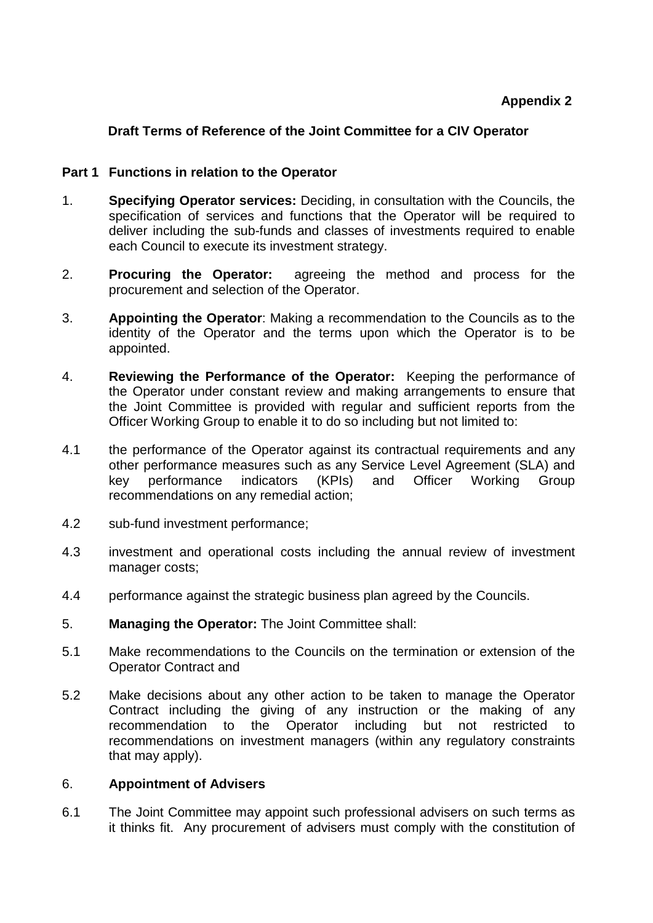# **Draft Terms of Reference of the Joint Committee for a CIV Operator**

## **Part 1 Functions in relation to the Operator**

- 1. **Specifying Operator services:** Deciding, in consultation with the Councils, the specification of services and functions that the Operator will be required to deliver including the sub-funds and classes of investments required to enable each Council to execute its investment strategy.
- 2. **Procuring the Operator:** agreeing the method and process for the procurement and selection of the Operator.
- 3. **Appointing the Operator**: Making a recommendation to the Councils as to the identity of the Operator and the terms upon which the Operator is to be appointed.
- 4. **Reviewing the Performance of the Operator:** Keeping the performance of the Operator under constant review and making arrangements to ensure that the Joint Committee is provided with regular and sufficient reports from the Officer Working Group to enable it to do so including but not limited to:
- 4.1 the performance of the Operator against its contractual requirements and any other performance measures such as any Service Level Agreement (SLA) and key performance indicators (KPIs) and Officer Working Group recommendations on any remedial action;
- 4.2 sub-fund investment performance;
- 4.3 investment and operational costs including the annual review of investment manager costs;
- 4.4 performance against the strategic business plan agreed by the Councils.
- 5. **Managing the Operator:** The Joint Committee shall:
- 5.1 Make recommendations to the Councils on the termination or extension of the Operator Contract and
- 5.2 Make decisions about any other action to be taken to manage the Operator Contract including the giving of any instruction or the making of any recommendation to the Operator including but not restricted to recommendations on investment managers (within any regulatory constraints that may apply).

## 6. **Appointment of Advisers**

6.1 The Joint Committee may appoint such professional advisers on such terms as it thinks fit. Any procurement of advisers must comply with the constitution of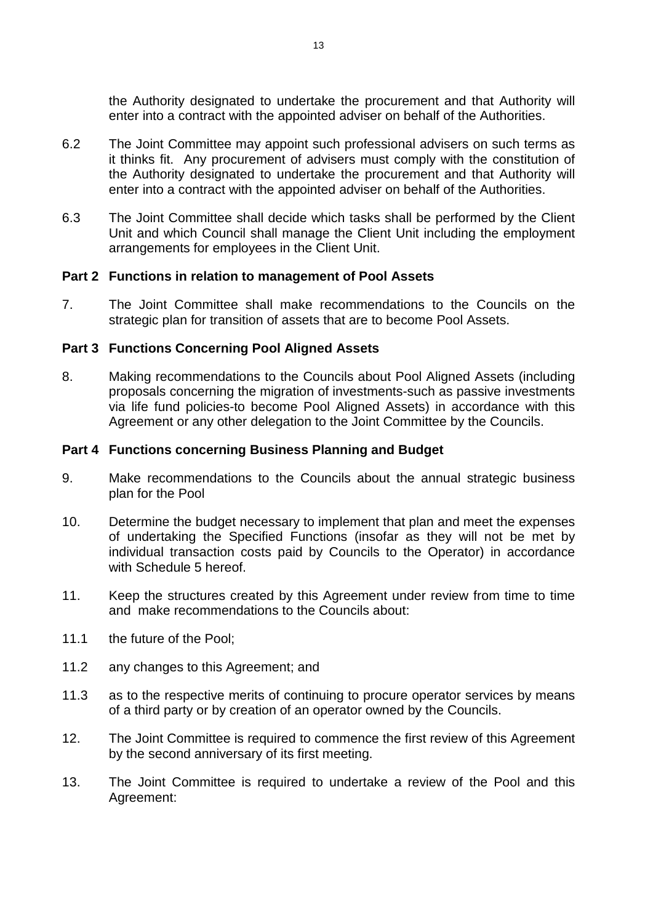the Authority designated to undertake the procurement and that Authority will enter into a contract with the appointed adviser on behalf of the Authorities.

- 6.2 The Joint Committee may appoint such professional advisers on such terms as it thinks fit. Any procurement of advisers must comply with the constitution of the Authority designated to undertake the procurement and that Authority will enter into a contract with the appointed adviser on behalf of the Authorities.
- 6.3 The Joint Committee shall decide which tasks shall be performed by the Client Unit and which Council shall manage the Client Unit including the employment arrangements for employees in the Client Unit.

## **Part 2 Functions in relation to management of Pool Assets**

7. The Joint Committee shall make recommendations to the Councils on the strategic plan for transition of assets that are to become Pool Assets.

#### **Part 3 Functions Concerning Pool Aligned Assets**

8. Making recommendations to the Councils about Pool Aligned Assets (including proposals concerning the migration of investments-such as passive investments via life fund policies-to become Pool Aligned Assets) in accordance with this Agreement or any other delegation to the Joint Committee by the Councils.

#### **Part 4 Functions concerning Business Planning and Budget**

- 9. Make recommendations to the Councils about the annual strategic business plan for the Pool
- 10. Determine the budget necessary to implement that plan and meet the expenses of undertaking the Specified Functions (insofar as they will not be met by individual transaction costs paid by Councils to the Operator) in accordance with Schedule 5 hereof.
- 11. Keep the structures created by this Agreement under review from time to time and make recommendations to the Councils about:
- 11.1 the future of the Pool;
- 11.2 any changes to this Agreement; and
- 11.3 as to the respective merits of continuing to procure operator services by means of a third party or by creation of an operator owned by the Councils.
- 12. The Joint Committee is required to commence the first review of this Agreement by the second anniversary of its first meeting.
- 13. The Joint Committee is required to undertake a review of the Pool and this Agreement: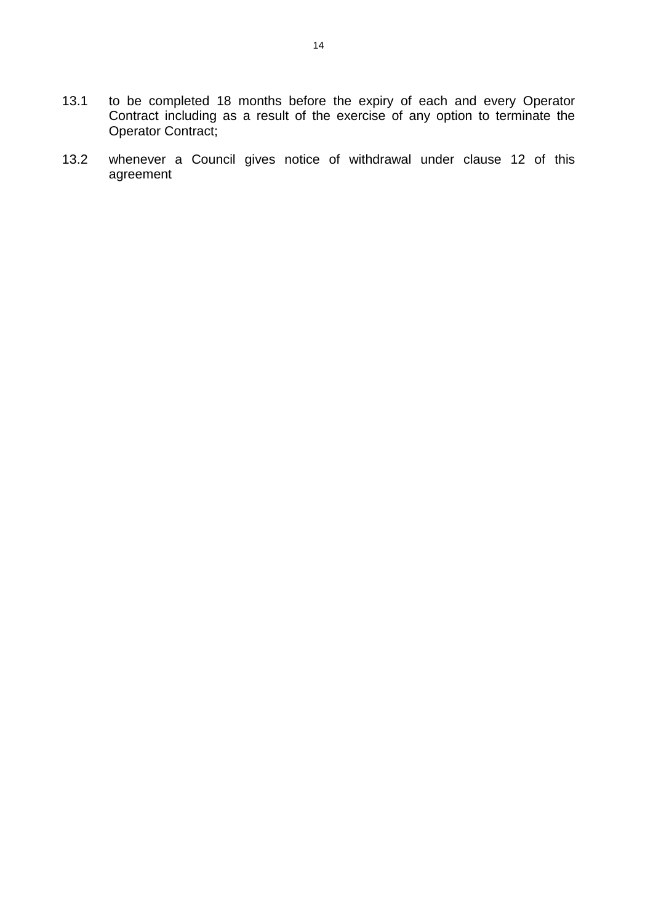- 13.1 to be completed 18 months before the expiry of each and every Operator Contract including as a result of the exercise of any option to terminate the Operator Contract;
- 13.2 whenever a Council gives notice of withdrawal under clause 12 of this agreement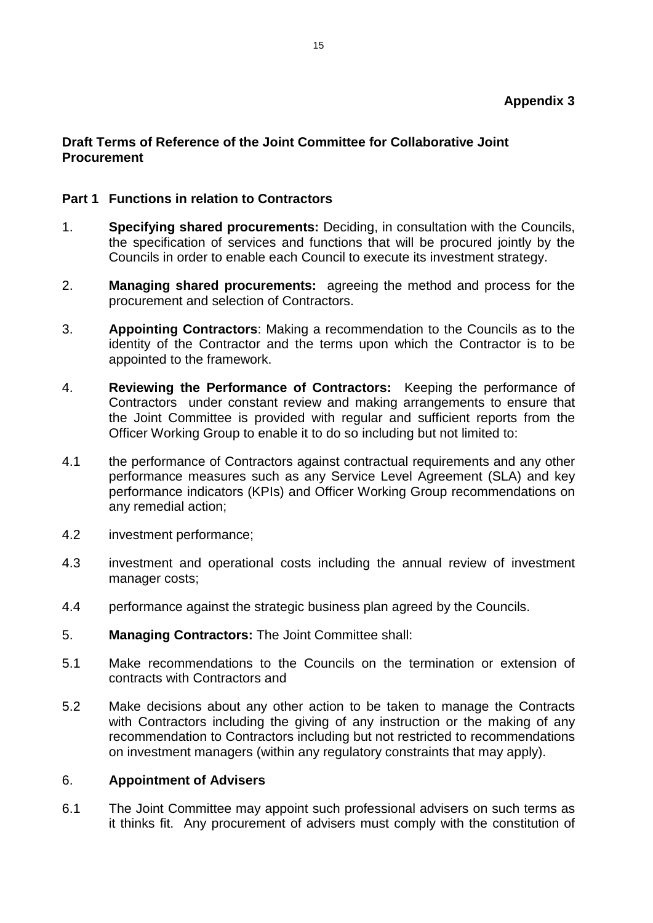# **Draft Terms of Reference of the Joint Committee for Collaborative Joint Procurement**

# **Part 1 Functions in relation to Contractors**

- 1. **Specifying shared procurements:** Deciding, in consultation with the Councils, the specification of services and functions that will be procured jointly by the Councils in order to enable each Council to execute its investment strategy.
- 2. **Managing shared procurements:** agreeing the method and process for the procurement and selection of Contractors.
- 3. **Appointing Contractors**: Making a recommendation to the Councils as to the identity of the Contractor and the terms upon which the Contractor is to be appointed to the framework.
- 4. **Reviewing the Performance of Contractors:** Keeping the performance of Contractors under constant review and making arrangements to ensure that the Joint Committee is provided with regular and sufficient reports from the Officer Working Group to enable it to do so including but not limited to:
- 4.1 the performance of Contractors against contractual requirements and any other performance measures such as any Service Level Agreement (SLA) and key performance indicators (KPIs) and Officer Working Group recommendations on any remedial action;
- 4.2 investment performance;
- 4.3 investment and operational costs including the annual review of investment manager costs;
- 4.4 performance against the strategic business plan agreed by the Councils.
- 5. **Managing Contractors:** The Joint Committee shall:
- 5.1 Make recommendations to the Councils on the termination or extension of contracts with Contractors and
- 5.2 Make decisions about any other action to be taken to manage the Contracts with Contractors including the giving of any instruction or the making of any recommendation to Contractors including but not restricted to recommendations on investment managers (within any regulatory constraints that may apply).

## 6. **Appointment of Advisers**

6.1 The Joint Committee may appoint such professional advisers on such terms as it thinks fit. Any procurement of advisers must comply with the constitution of